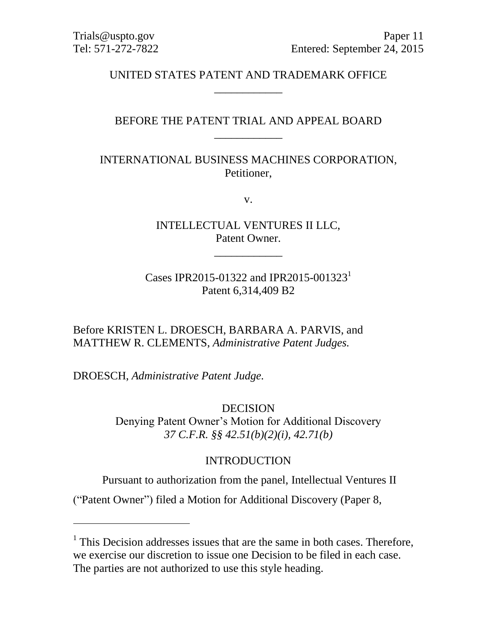# UNITED STATES PATENT AND TRADEMARK OFFICE \_\_\_\_\_\_\_\_\_\_\_\_

## BEFORE THE PATENT TRIAL AND APPEAL BOARD \_\_\_\_\_\_\_\_\_\_\_\_

## INTERNATIONAL BUSINESS MACHINES CORPORATION, Petitioner,

v.

INTELLECTUAL VENTURES II LLC, Patent Owner.

\_\_\_\_\_\_\_\_\_\_\_\_

Cases IPR2015-01322 and IPR2015-001323<sup>1</sup> Patent 6,314,409 B2

Before KRISTEN L. DROESCH, BARBARA A. PARVIS, and MATTHEW R. CLEMENTS, *Administrative Patent Judges.*

DROESCH, *Administrative Patent Judge.*

 $\overline{a}$ 

DECISION Denying Patent Owner's Motion for Additional Discovery *37 C.F.R. §§ 42.51(b)(2)(i), 42.71(b)*

#### INTRODUCTION

Pursuant to authorization from the panel, Intellectual Ventures II

("Patent Owner") filed a Motion for Additional Discovery (Paper 8,

<sup>&</sup>lt;sup>1</sup> This Decision addresses issues that are the same in both cases. Therefore, we exercise our discretion to issue one Decision to be filed in each case. The parties are not authorized to use this style heading.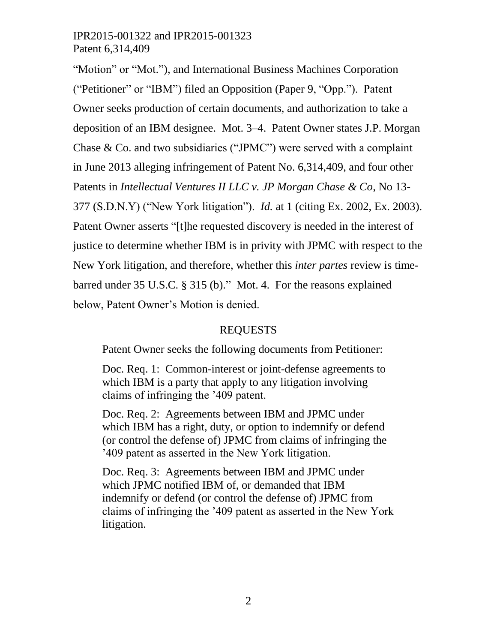"Motion" or "Mot."), and International Business Machines Corporation ("Petitioner" or "IBM") filed an Opposition (Paper 9, "Opp."). Patent Owner seeks production of certain documents, and authorization to take a deposition of an IBM designee. Mot. 3–4. Patent Owner states J.P. Morgan Chase & Co. and two subsidiaries ("JPMC") were served with a complaint in June 2013 alleging infringement of Patent No. 6,314,409, and four other Patents in *Intellectual Ventures II LLC v. JP Morgan Chase & Co*, No 13- 377 (S.D.N.Y) ("New York litigation"). *Id.* at 1 (citing Ex. 2002, Ex. 2003). Patent Owner asserts "[t]he requested discovery is needed in the interest of justice to determine whether IBM is in privity with JPMC with respect to the New York litigation, and therefore, whether this *inter partes* review is timebarred under 35 U.S.C. § 315 (b)." Mot. 4. For the reasons explained below, Patent Owner's Motion is denied.

# REQUESTS

Patent Owner seeks the following documents from Petitioner:

Doc. Req. 1: Common-interest or joint-defense agreements to which IBM is a party that apply to any litigation involving claims of infringing the '409 patent.

Doc. Req. 2: Agreements between IBM and JPMC under which IBM has a right, duty, or option to indemnify or defend (or control the defense of) JPMC from claims of infringing the '409 patent as asserted in the New York litigation.

Doc. Req. 3: Agreements between IBM and JPMC under which JPMC notified IBM of, or demanded that IBM indemnify or defend (or control the defense of) JPMC from claims of infringing the '409 patent as asserted in the New York litigation.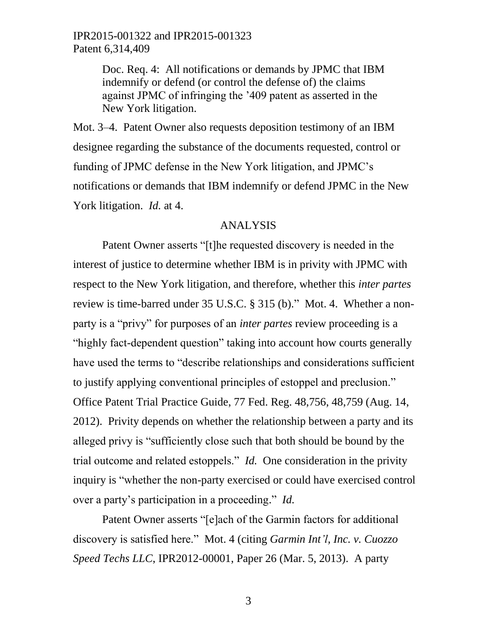> Doc. Req. 4: All notifications or demands by JPMC that IBM indemnify or defend (or control the defense of) the claims against JPMC of infringing the '409 patent as asserted in the New York litigation.

Mot. 3–4. Patent Owner also requests deposition testimony of an IBM designee regarding the substance of the documents requested, control or funding of JPMC defense in the New York litigation, and JPMC's notifications or demands that IBM indemnify or defend JPMC in the New York litigation. *Id.* at 4.

#### ANALYSIS

Patent Owner asserts "[t]he requested discovery is needed in the interest of justice to determine whether IBM is in privity with JPMC with respect to the New York litigation, and therefore, whether this *inter partes* review is time-barred under 35 U.S.C. § 315 (b)." Mot. 4. Whether a nonparty is a "privy" for purposes of an *inter partes* review proceeding is a "highly fact-dependent question" taking into account how courts generally have used the terms to "describe relationships and considerations sufficient to justify applying conventional principles of estoppel and preclusion." Office Patent Trial Practice Guide, 77 Fed. Reg. 48,756, 48,759 (Aug. 14, 2012). Privity depends on whether the relationship between a party and its alleged privy is "sufficiently close such that both should be bound by the trial outcome and related estoppels." *Id.* One consideration in the privity inquiry is "whether the non-party exercised or could have exercised control over a party's participation in a proceeding." *Id.*

Patent Owner asserts "[e]ach of the Garmin factors for additional discovery is satisfied here." Mot. 4 (citing *Garmin Int'l, Inc. v. Cuozzo Speed Techs LLC*, IPR2012-00001, Paper 26 (Mar. 5, 2013). A party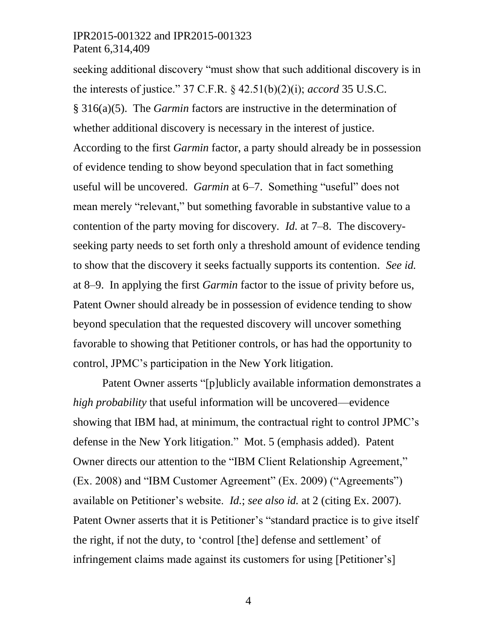seeking additional discovery "must show that such additional discovery is in the interests of justice." 37 C.F.R. § 42.51(b)(2)(i); *accord* 35 U.S.C. § 316(a)(5). The *Garmin* factors are instructive in the determination of whether additional discovery is necessary in the interest of justice. According to the first *Garmin* factor, a party should already be in possession of evidence tending to show beyond speculation that in fact something useful will be uncovered. *Garmin* at 6–7. Something "useful" does not mean merely "relevant," but something favorable in substantive value to a contention of the party moving for discovery. *Id.* at 7–8. The discoveryseeking party needs to set forth only a threshold amount of evidence tending to show that the discovery it seeks factually supports its contention. *See id.* at 8–9. In applying the first *Garmin* factor to the issue of privity before us, Patent Owner should already be in possession of evidence tending to show beyond speculation that the requested discovery will uncover something favorable to showing that Petitioner controls, or has had the opportunity to control, JPMC's participation in the New York litigation.

Patent Owner asserts "[p]ublicly available information demonstrates a *high probability* that useful information will be uncovered—evidence showing that IBM had, at minimum, the contractual right to control JPMC's defense in the New York litigation." Mot. 5 (emphasis added). Patent Owner directs our attention to the "IBM Client Relationship Agreement," (Ex. 2008) and "IBM Customer Agreement" (Ex. 2009) ("Agreements") available on Petitioner's website. *Id.*; *see also id.* at 2 (citing Ex. 2007). Patent Owner asserts that it is Petitioner's "standard practice is to give itself the right, if not the duty, to 'control [the] defense and settlement' of infringement claims made against its customers for using [Petitioner's]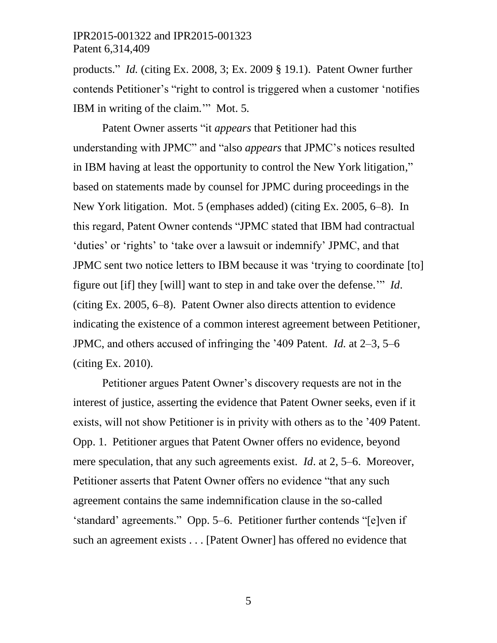products." *Id.* (citing Ex. 2008, 3; Ex. 2009 § 19.1). Patent Owner further contends Petitioner's "right to control is triggered when a customer 'notifies IBM in writing of the claim.'" Mot. 5*.*

Patent Owner asserts "it *appears* that Petitioner had this understanding with JPMC" and "also *appears* that JPMC's notices resulted in IBM having at least the opportunity to control the New York litigation," based on statements made by counsel for JPMC during proceedings in the New York litigation. Mot. 5 (emphases added) (citing Ex. 2005, 6–8). In this regard, Patent Owner contends "JPMC stated that IBM had contractual 'duties' or 'rights' to 'take over a lawsuit or indemnify' JPMC, and that JPMC sent two notice letters to IBM because it was 'trying to coordinate [to] figure out [if] they [will] want to step in and take over the defense.'" *Id*. (citing Ex. 2005, 6–8). Patent Owner also directs attention to evidence indicating the existence of a common interest agreement between Petitioner, JPMC, and others accused of infringing the '409 Patent. *Id.* at 2–3, 5–6 (citing Ex. 2010).

Petitioner argues Patent Owner's discovery requests are not in the interest of justice, asserting the evidence that Patent Owner seeks, even if it exists, will not show Petitioner is in privity with others as to the '409 Patent. Opp. 1. Petitioner argues that Patent Owner offers no evidence, beyond mere speculation, that any such agreements exist. *Id*. at 2, 5–6. Moreover, Petitioner asserts that Patent Owner offers no evidence "that any such agreement contains the same indemnification clause in the so-called 'standard' agreements." Opp. 5–6. Petitioner further contends "[e]ven if such an agreement exists . . . [Patent Owner] has offered no evidence that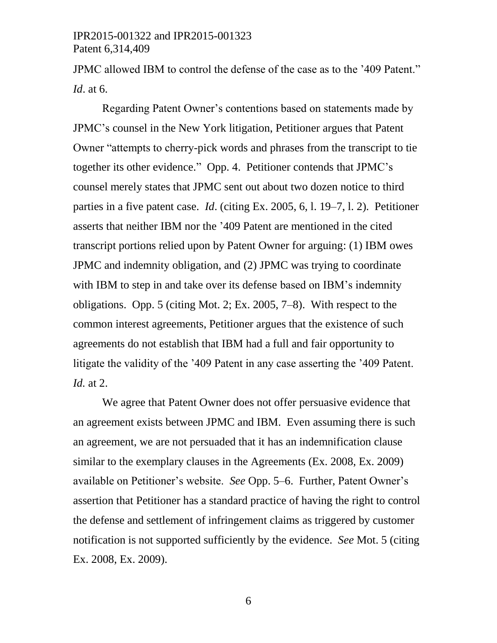JPMC allowed IBM to control the defense of the case as to the '409 Patent." *Id*. at 6.

Regarding Patent Owner's contentions based on statements made by JPMC's counsel in the New York litigation, Petitioner argues that Patent Owner "attempts to cherry-pick words and phrases from the transcript to tie together its other evidence." Opp. 4. Petitioner contends that JPMC's counsel merely states that JPMC sent out about two dozen notice to third parties in a five patent case. *Id*. (citing Ex. 2005, 6, l. 19–7, l. 2). Petitioner asserts that neither IBM nor the '409 Patent are mentioned in the cited transcript portions relied upon by Patent Owner for arguing: (1) IBM owes JPMC and indemnity obligation, and (2) JPMC was trying to coordinate with IBM to step in and take over its defense based on IBM's indemnity obligations. Opp. 5 (citing Mot. 2; Ex. 2005, 7–8). With respect to the common interest agreements, Petitioner argues that the existence of such agreements do not establish that IBM had a full and fair opportunity to litigate the validity of the '409 Patent in any case asserting the '409 Patent. *Id.* at 2.

We agree that Patent Owner does not offer persuasive evidence that an agreement exists between JPMC and IBM. Even assuming there is such an agreement, we are not persuaded that it has an indemnification clause similar to the exemplary clauses in the Agreements (Ex. 2008, Ex. 2009) available on Petitioner's website. *See* Opp. 5–6. Further, Patent Owner's assertion that Petitioner has a standard practice of having the right to control the defense and settlement of infringement claims as triggered by customer notification is not supported sufficiently by the evidence. *See* Mot. 5 (citing Ex. 2008, Ex. 2009).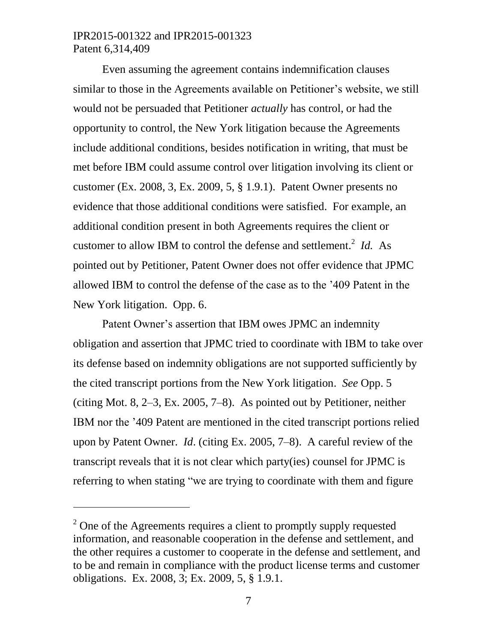$\overline{a}$ 

Even assuming the agreement contains indemnification clauses similar to those in the Agreements available on Petitioner's website, we still would not be persuaded that Petitioner *actually* has control, or had the opportunity to control, the New York litigation because the Agreements include additional conditions, besides notification in writing, that must be met before IBM could assume control over litigation involving its client or customer (Ex. 2008, 3, Ex. 2009, 5, § 1.9.1). Patent Owner presents no evidence that those additional conditions were satisfied. For example, an additional condition present in both Agreements requires the client or customer to allow IBM to control the defense and settlement.<sup>2</sup> *Id.* As pointed out by Petitioner, Patent Owner does not offer evidence that JPMC allowed IBM to control the defense of the case as to the '409 Patent in the New York litigation. Opp. 6.

Patent Owner's assertion that IBM owes JPMC an indemnity obligation and assertion that JPMC tried to coordinate with IBM to take over its defense based on indemnity obligations are not supported sufficiently by the cited transcript portions from the New York litigation. *See* Opp. 5 (citing Mot. 8, 2–3, Ex. 2005, 7–8). As pointed out by Petitioner, neither IBM nor the '409 Patent are mentioned in the cited transcript portions relied upon by Patent Owner. *Id*. (citing Ex. 2005, 7–8). A careful review of the transcript reveals that it is not clear which party(ies) counsel for JPMC is referring to when stating "we are trying to coordinate with them and figure

 $2^{\circ}$  One of the Agreements requires a client to promptly supply requested information, and reasonable cooperation in the defense and settlement, and the other requires a customer to cooperate in the defense and settlement, and to be and remain in compliance with the product license terms and customer obligations. Ex. 2008, 3; Ex. 2009, 5, § 1.9.1.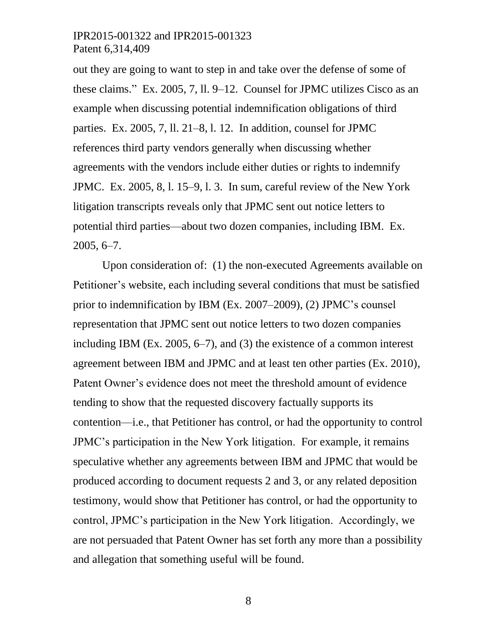out they are going to want to step in and take over the defense of some of these claims." Ex. 2005, 7, ll. 9–12. Counsel for JPMC utilizes Cisco as an example when discussing potential indemnification obligations of third parties. Ex. 2005, 7, ll. 21–8, l. 12. In addition, counsel for JPMC references third party vendors generally when discussing whether agreements with the vendors include either duties or rights to indemnify JPMC. Ex. 2005, 8, l. 15–9, l. 3. In sum, careful review of the New York litigation transcripts reveals only that JPMC sent out notice letters to potential third parties––about two dozen companies, including IBM. Ex. 2005, 6–7.

Upon consideration of: (1) the non-executed Agreements available on Petitioner's website, each including several conditions that must be satisfied prior to indemnification by IBM (Ex. 2007–2009), (2) JPMC's counsel representation that JPMC sent out notice letters to two dozen companies including IBM (Ex. 2005, 6–7), and (3) the existence of a common interest agreement between IBM and JPMC and at least ten other parties (Ex. 2010), Patent Owner's evidence does not meet the threshold amount of evidence tending to show that the requested discovery factually supports its contention––i.e., that Petitioner has control, or had the opportunity to control JPMC's participation in the New York litigation. For example, it remains speculative whether any agreements between IBM and JPMC that would be produced according to document requests 2 and 3, or any related deposition testimony, would show that Petitioner has control, or had the opportunity to control, JPMC's participation in the New York litigation. Accordingly, we are not persuaded that Patent Owner has set forth any more than a possibility and allegation that something useful will be found.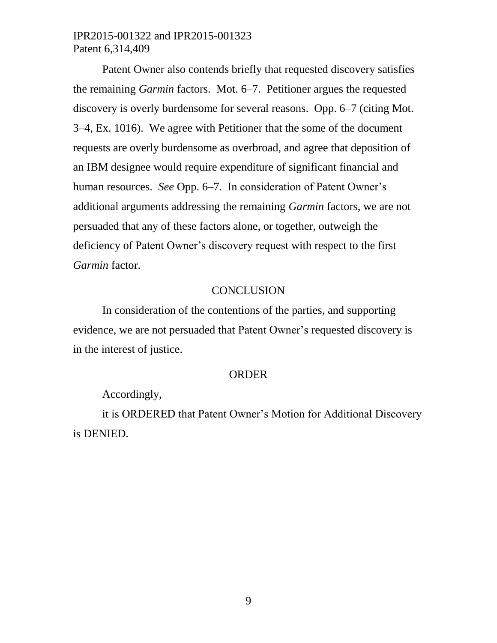Patent Owner also contends briefly that requested discovery satisfies the remaining *Garmin* factors. Mot. 6–7. Petitioner argues the requested discovery is overly burdensome for several reasons. Opp. 6–7 (citing Mot. 3–4, Ex. 1016). We agree with Petitioner that the some of the document requests are overly burdensome as overbroad, and agree that deposition of an IBM designee would require expenditure of significant financial and human resources. *See* Opp. 6–7. In consideration of Patent Owner's additional arguments addressing the remaining *Garmin* factors, we are not persuaded that any of these factors alone, or together, outweigh the deficiency of Patent Owner's discovery request with respect to the first *Garmin* factor.

#### **CONCLUSION**

In consideration of the contentions of the parties, and supporting evidence, we are not persuaded that Patent Owner's requested discovery is in the interest of justice.

#### ORDER

Accordingly,

it is ORDERED that Patent Owner's Motion for Additional Discovery is DENIED.